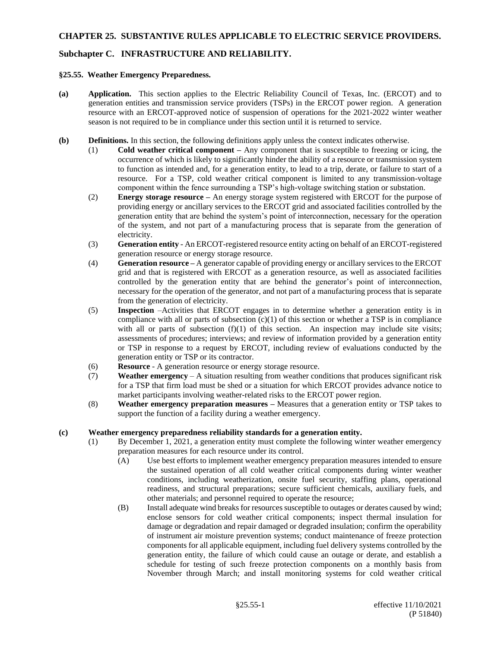# **Subchapter C. INFRASTRUCTURE AND RELIABILITY.**

#### **§25.55. Weather Emergency Preparedness.**

- **(a) Application.** This section applies to the Electric Reliability Council of Texas, Inc. (ERCOT) and to generation entities and transmission service providers (TSPs) in the ERCOT power region. A generation resource with an ERCOT-approved notice of suspension of operations for the 2021-2022 winter weather season is not required to be in compliance under this section until it is returned to service.
- **(b) Definitions.** In this section, the following definitions apply unless the context indicates otherwise.
	- (1) **Cold weather critical component –** Any component that is susceptible to freezing or icing, the occurrence of which is likely to significantly hinder the ability of a resource or transmission system to function as intended and, for a generation entity, to lead to a trip, derate, or failure to start of a resource. For a TSP, cold weather critical component is limited to any transmission-voltage component within the fence surrounding a TSP's high-voltage switching station or substation.
	- (2) **Energy storage resource –** An energy storage system registered with ERCOT for the purpose of providing energy or ancillary services to the ERCOT grid and associated facilities controlled by the generation entity that are behind the system's point of interconnection, necessary for the operation of the system, and not part of a manufacturing process that is separate from the generation of electricity.
	- (3) **Generation entity** An ERCOT-registered resource entity acting on behalf of an ERCOT-registered generation resource or energy storage resource.
	- (4) **Generation resource –** A generator capable of providing energy or ancillary services to the ERCOT grid and that is registered with ERCOT as a generation resource, as well as associated facilities controlled by the generation entity that are behind the generator's point of interconnection, necessary for the operation of the generator, and not part of a manufacturing process that is separate from the generation of electricity.
	- (5) **Inspection** –Activities that ERCOT engages in to determine whether a generation entity is in compliance with all or parts of subsection  $(c)(1)$  of this section or whether a TSP is in compliance with all or parts of subsection  $(f)(1)$  of this section. An inspection may include site visits; assessments of procedures; interviews; and review of information provided by a generation entity or TSP in response to a request by ERCOT, including review of evaluations conducted by the generation entity or TSP or its contractor.
	- (6) **Resource** A generation resource or energy storage resource.
	- (7) **Weather emergency** A situation resulting from weather conditions that produces significant risk for a TSP that firm load must be shed or a situation for which ERCOT provides advance notice to market participants involving weather-related risks to the ERCOT power region.
	- (8) **Weather emergency preparation measures –** Measures that a generation entity or TSP takes to support the function of a facility during a weather emergency.

#### **(c) Weather emergency preparedness reliability standards for a generation entity.**

- (1) By December 1, 2021, a generation entity must complete the following winter weather emergency preparation measures for each resource under its control.
	- (A) Use best efforts to implement weather emergency preparation measures intended to ensure the sustained operation of all cold weather critical components during winter weather conditions, including weatherization, onsite fuel security, staffing plans, operational readiness, and structural preparations; secure sufficient chemicals, auxiliary fuels, and other materials; and personnel required to operate the resource;
	- (B) Install adequate wind breaks for resources susceptible to outages or derates caused by wind; enclose sensors for cold weather critical components; inspect thermal insulation for damage or degradation and repair damaged or degraded insulation; confirm the operability of instrument air moisture prevention systems; conduct maintenance of freeze protection components for all applicable equipment, including fuel delivery systems controlled by the generation entity, the failure of which could cause an outage or derate, and establish a schedule for testing of such freeze protection components on a monthly basis from November through March; and install monitoring systems for cold weather critical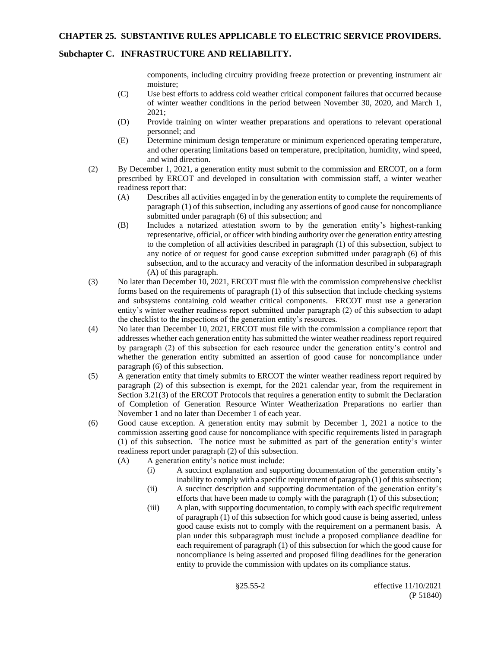## **Subchapter C. INFRASTRUCTURE AND RELIABILITY.**

components, including circuitry providing freeze protection or preventing instrument air moisture;

- (C) Use best efforts to address cold weather critical component failures that occurred because of winter weather conditions in the period between November 30, 2020, and March 1, 2021;
- (D) Provide training on winter weather preparations and operations to relevant operational personnel; and
- (E) Determine minimum design temperature or minimum experienced operating temperature, and other operating limitations based on temperature, precipitation, humidity, wind speed, and wind direction.
- (2) By December 1, 2021, a generation entity must submit to the commission and ERCOT, on a form prescribed by ERCOT and developed in consultation with commission staff, a winter weather readiness report that:
	- (A) Describes all activities engaged in by the generation entity to complete the requirements of paragraph (1) of this subsection, including any assertions of good cause for noncompliance submitted under paragraph (6) of this subsection; and
	- (B) Includes a notarized attestation sworn to by the generation entity's highest-ranking representative, official, or officer with binding authority over the generation entity attesting to the completion of all activities described in paragraph (1) of this subsection, subject to any notice of or request for good cause exception submitted under paragraph (6) of this subsection, and to the accuracy and veracity of the information described in subparagraph (A) of this paragraph.
- (3) No later than December 10, 2021, ERCOT must file with the commission comprehensive checklist forms based on the requirements of paragraph (1) of this subsection that include checking systems and subsystems containing cold weather critical components. ERCOT must use a generation entity's winter weather readiness report submitted under paragraph (2) of this subsection to adapt the checklist to the inspections of the generation entity's resources.
- (4) No later than December 10, 2021, ERCOT must file with the commission a compliance report that addresses whether each generation entity has submitted the winter weather readiness report required by paragraph (2) of this subsection for each resource under the generation entity's control and whether the generation entity submitted an assertion of good cause for noncompliance under paragraph (6) of this subsection.
- (5) A generation entity that timely submits to ERCOT the winter weather readiness report required by paragraph (2) of this subsection is exempt, for the 2021 calendar year, from the requirement in Section 3.21(3) of the ERCOT Protocols that requires a generation entity to submit the Declaration of Completion of Generation Resource Winter Weatherization Preparations no earlier than November 1 and no later than December 1 of each year.
- (6) Good cause exception. A generation entity may submit by December 1, 2021 a notice to the commission asserting good cause for noncompliance with specific requirements listed in paragraph (1) of this subsection. The notice must be submitted as part of the generation entity's winter readiness report under paragraph (2) of this subsection.
	- (A) A generation entity's notice must include:
		- (i) A succinct explanation and supporting documentation of the generation entity's inability to comply with a specific requirement of paragraph (1) of this subsection;
		- (ii) A succinct description and supporting documentation of the generation entity's efforts that have been made to comply with the paragraph (1) of this subsection;
		- (iii) A plan, with supporting documentation, to comply with each specific requirement of paragraph (1) of this subsection for which good cause is being asserted, unless good cause exists not to comply with the requirement on a permanent basis. A plan under this subparagraph must include a proposed compliance deadline for each requirement of paragraph (1) of this subsection for which the good cause for noncompliance is being asserted and proposed filing deadlines for the generation entity to provide the commission with updates on its compliance status.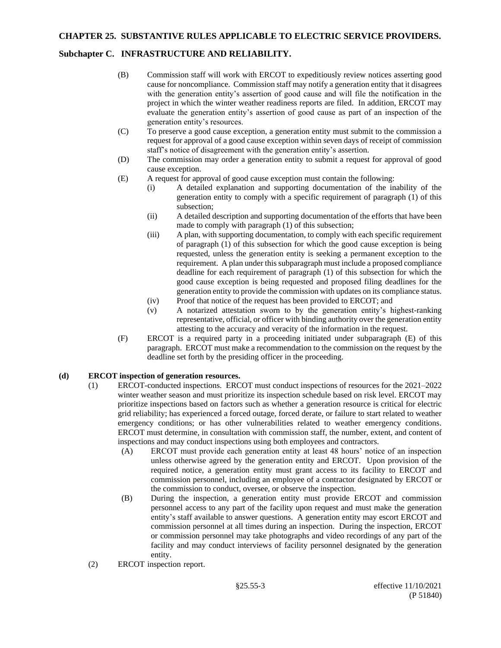# **Subchapter C. INFRASTRUCTURE AND RELIABILITY.**

- (B) Commission staff will work with ERCOT to expeditiously review notices asserting good cause for noncompliance. Commission staff may notify a generation entity that it disagrees with the generation entity's assertion of good cause and will file the notification in the project in which the winter weather readiness reports are filed. In addition, ERCOT may evaluate the generation entity's assertion of good cause as part of an inspection of the generation entity's resources.
- (C) To preserve a good cause exception, a generation entity must submit to the commission a request for approval of a good cause exception within seven days of receipt of commission staff's notice of disagreement with the generation entity's assertion.
- (D) The commission may order a generation entity to submit a request for approval of good cause exception.
- (E) A request for approval of good cause exception must contain the following:
	- (i) A detailed explanation and supporting documentation of the inability of the generation entity to comply with a specific requirement of paragraph (1) of this subsection;
	- (ii) A detailed description and supporting documentation of the efforts that have been made to comply with paragraph (1) of this subsection;
	- (iii) A plan, with supporting documentation, to comply with each specific requirement of paragraph (1) of this subsection for which the good cause exception is being requested, unless the generation entity is seeking a permanent exception to the requirement. A plan under this subparagraph must include a proposed compliance deadline for each requirement of paragraph (1) of this subsection for which the good cause exception is being requested and proposed filing deadlines for the generation entity to provide the commission with updates on its compliance status.
	- (iv) Proof that notice of the request has been provided to ERCOT; and
	- (v) A notarized attestation sworn to by the generation entity's highest-ranking representative, official, or officer with binding authority over the generation entity attesting to the accuracy and veracity of the information in the request.
- (F) ERCOT is a required party in a proceeding initiated under subparagraph (E) of this paragraph. ERCOT must make a recommendation to the commission on the request by the deadline set forth by the presiding officer in the proceeding.

### **(d) ERCOT inspection of generation resources.**

- (1) ERCOT-conducted inspections. ERCOT must conduct inspections of resources for the 2021–2022 winter weather season and must prioritize its inspection schedule based on risk level. ERCOT may prioritize inspections based on factors such as whether a generation resource is critical for electric grid reliability; has experienced a forced outage, forced derate, or failure to start related to weather emergency conditions; or has other vulnerabilities related to weather emergency conditions. ERCOT must determine, in consultation with commission staff, the number, extent, and content of inspections and may conduct inspections using both employees and contractors.
	- (A) ERCOT must provide each generation entity at least 48 hours' notice of an inspection unless otherwise agreed by the generation entity and ERCOT. Upon provision of the required notice, a generation entity must grant access to its facility to ERCOT and commission personnel, including an employee of a contractor designated by ERCOT or the commission to conduct, oversee, or observe the inspection.
	- (B) During the inspection, a generation entity must provide ERCOT and commission personnel access to any part of the facility upon request and must make the generation entity's staff available to answer questions. A generation entity may escort ERCOT and commission personnel at all times during an inspection. During the inspection, ERCOT or commission personnel may take photographs and video recordings of any part of the facility and may conduct interviews of facility personnel designated by the generation entity.
- (2) ERCOT inspection report.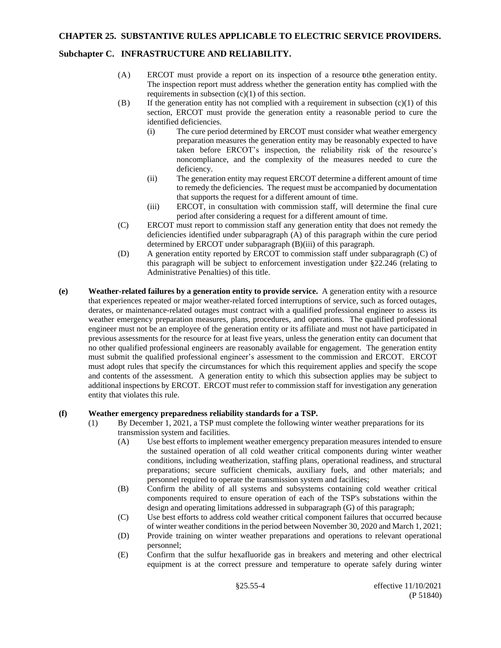## **Subchapter C. INFRASTRUCTURE AND RELIABILITY.**

- (A) ERCOT must provide a report on its inspection of a resource tothe generation entity. The inspection report must address whether the generation entity has complied with the requirements in subsection  $(c)(1)$  of this section.
- $(B)$  If the generation entity has not complied with a requirement in subsection  $(c)(1)$  of this section, ERCOT must provide the generation entity a reasonable period to cure the identified deficiencies.
	- (i) The cure period determined by ERCOT must consider what weather emergency preparation measures the generation entity may be reasonably expected to have taken before ERCOT's inspection, the reliability risk of the resource's noncompliance, and the complexity of the measures needed to cure the deficiency.
	- (ii) The generation entity may request ERCOT determine a different amount of time to remedy the deficiencies. The request must be accompanied by documentation that supports the request for a different amount of time.
	- (iii) ERCOT, in consultation with commission staff, will determine the final cure period after considering a request for a different amount of time.
- (C) ERCOT must report to commission staff any generation entity that does not remedy the deficiencies identified under subparagraph (A) of this paragraph within the cure period determined by ERCOT under subparagraph (B)(iii) of this paragraph.
- (D) A generation entity reported by ERCOT to commission staff under subparagraph (C) of this paragraph will be subject to enforcement investigation under §22.246 (relating to Administrative Penalties) of this title.
- **(e) Weather-related failures by a generation entity to provide service.** A generation entity with a resource that experiences repeated or major weather-related forced interruptions of service, such as forced outages, derates, or maintenance-related outages must contract with a qualified professional engineer to assess its weather emergency preparation measures, plans, procedures, and operations. The qualified professional engineer must not be an employee of the generation entity or its affiliate and must not have participated in previous assessments for the resource for at least five years, unless the generation entity can document that no other qualified professional engineers are reasonably available for engagement. The generation entity must submit the qualified professional engineer's assessment to the commission and ERCOT. ERCOT must adopt rules that specify the circumstances for which this requirement applies and specify the scope and contents of the assessment. A generation entity to which this subsection applies may be subject to additional inspections by ERCOT. ERCOT must refer to commission staff for investigation any generation entity that violates this rule.

#### **(f) Weather emergency preparedness reliability standards for a TSP.**

- (1) By December 1, 2021, a TSP must complete the following winter weather preparations for its transmission system and facilities.
	- (A) Use best efforts to implement weather emergency preparation measures intended to ensure the sustained operation of all cold weather critical components during winter weather conditions, including weatherization, staffing plans, operational readiness, and structural preparations; secure sufficient chemicals, auxiliary fuels, and other materials; and personnel required to operate the transmission system and facilities;
	- (B) Confirm the ability of all systems and subsystems containing cold weather critical components required to ensure operation of each of the TSP's substations within the design and operating limitations addressed in subparagraph (G) of this paragraph;
	- (C) Use best efforts to address cold weather critical component failures that occurred because of winter weather conditions in the period between November 30, 2020 and March 1, 2021;
	- (D) Provide training on winter weather preparations and operations to relevant operational personnel;
	- (E) Confirm that the sulfur hexafluoride gas in breakers and metering and other electrical equipment is at the correct pressure and temperature to operate safely during winter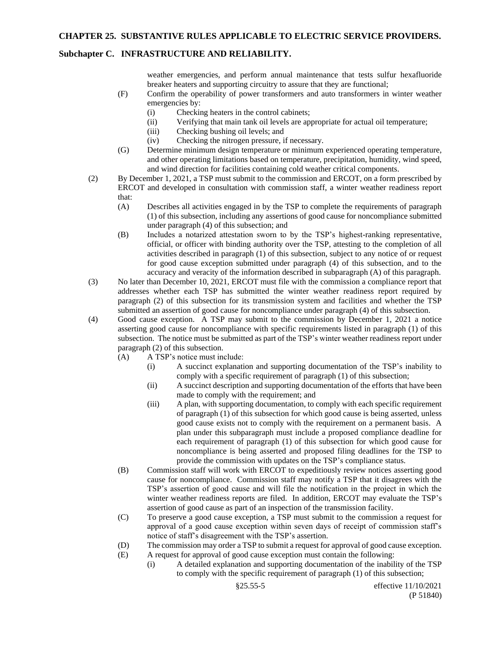### **Subchapter C. INFRASTRUCTURE AND RELIABILITY.**

weather emergencies, and perform annual maintenance that tests sulfur hexafluoride breaker heaters and supporting circuitry to assure that they are functional;

- (F) Confirm the operability of power transformers and auto transformers in winter weather emergencies by:
	- (i) Checking heaters in the control cabinets;
	- (ii) Verifying that main tank oil levels are appropriate for actual oil temperature;
	- (iii) Checking bushing oil levels; and
	- (iv) Checking the nitrogen pressure, if necessary.
- (G) Determine minimum design temperature or minimum experienced operating temperature, and other operating limitations based on temperature, precipitation, humidity, wind speed, and wind direction for facilities containing cold weather critical components.
- (2) By December 1, 2021, a TSP must submit to the commission and ERCOT, on a form prescribed by ERCOT and developed in consultation with commission staff, a winter weather readiness report that:
	- (A) Describes all activities engaged in by the TSP to complete the requirements of paragraph (1) of this subsection, including any assertions of good cause for noncompliance submitted under paragraph (4) of this subsection; and
	- (B) Includes a notarized attestation sworn to by the TSP's highest-ranking representative, official, or officer with binding authority over the TSP, attesting to the completion of all activities described in paragraph (1) of this subsection, subject to any notice of or request for good cause exception submitted under paragraph (4) of this subsection, and to the accuracy and veracity of the information described in subparagraph (A) of this paragraph.
- (3) No later than December 10, 2021, ERCOT must file with the commission a compliance report that addresses whether each TSP has submitted the winter weather readiness report required by paragraph (2) of this subsection for its transmission system and facilities and whether the TSP submitted an assertion of good cause for noncompliance under paragraph (4) of this subsection.
- (4) Good cause exception. A TSP may submit to the commission by December 1, 2021 a notice asserting good cause for noncompliance with specific requirements listed in paragraph (1) of this subsection. The notice must be submitted as part of the TSP's winter weather readiness report under paragraph (2) of this subsection.
	- (A) A TSP's notice must include:
		- (i) A succinct explanation and supporting documentation of the TSP's inability to comply with a specific requirement of paragraph (1) of this subsection;
		- (ii) A succinct description and supporting documentation of the efforts that have been made to comply with the requirement; and
		- (iii) A plan, with supporting documentation, to comply with each specific requirement of paragraph (1) of this subsection for which good cause is being asserted, unless good cause exists not to comply with the requirement on a permanent basis. A plan under this subparagraph must include a proposed compliance deadline for each requirement of paragraph (1) of this subsection for which good cause for noncompliance is being asserted and proposed filing deadlines for the TSP to provide the commission with updates on the TSP's compliance status.
	- (B) Commission staff will work with ERCOT to expeditiously review notices asserting good cause for noncompliance. Commission staff may notify a TSP that it disagrees with the TSP's assertion of good cause and will file the notification in the project in which the winter weather readiness reports are filed. In addition, ERCOT may evaluate the TSP's assertion of good cause as part of an inspection of the transmission facility.
	- (C) To preserve a good cause exception, a TSP must submit to the commission a request for approval of a good cause exception within seven days of receipt of commission staff's notice of staff's disagreement with the TSP's assertion.
	- (D) The commission may order a TSP to submit a request for approval of good cause exception.
	- (E) A request for approval of good cause exception must contain the following:
		- (i) A detailed explanation and supporting documentation of the inability of the TSP to comply with the specific requirement of paragraph (1) of this subsection;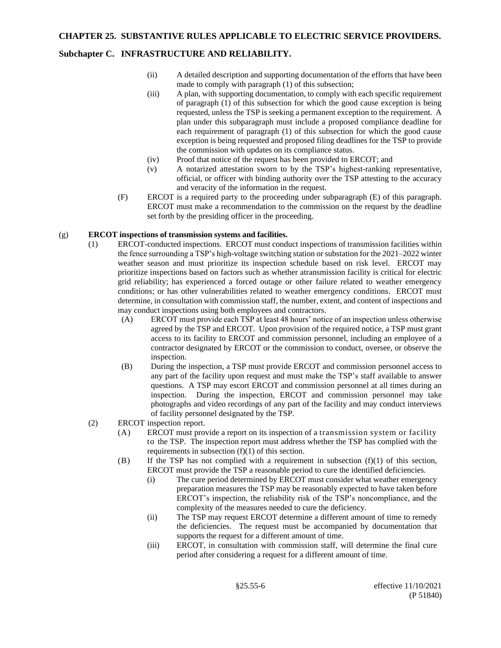# **Subchapter C. INFRASTRUCTURE AND RELIABILITY.**

- (ii) A detailed description and supporting documentation of the efforts that have been made to comply with paragraph (1) of this subsection;
- (iii) A plan, with supporting documentation, to comply with each specific requirement of paragraph (1) of this subsection for which the good cause exception is being requested, unless the TSP is seeking a permanent exception to the requirement. A plan under this subparagraph must include a proposed compliance deadline for each requirement of paragraph (1) of this subsection for which the good cause exception is being requested and proposed filing deadlines for the TSP to provide the commission with updates on its compliance status.
- (iv) Proof that notice of the request has been provided to ERCOT; and
- (v) A notarized attestation sworn to by the TSP's highest-ranking representative, official, or officer with binding authority over the TSP attesting to the accuracy and veracity of the information in the request.
- (F) ERCOT is a required party to the proceeding under subparagraph (E) of this paragraph. ERCOT must make a recommendation to the commission on the request by the deadline set forth by the presiding officer in the proceeding.

#### (g) **ERCOT inspections of transmission systems and facilities.**

- (1) ERCOT-conducted inspections. ERCOT must conduct inspections of transmission facilities within the fence surrounding a TSP's high-voltage switching station or substation for the 2021–2022 winter weather season and must prioritize its inspection schedule based on risk level. ERCOT may prioritize inspections based on factors such as whether atransmission facility is critical for electric grid reliability; has experienced a forced outage or other failure related to weather emergency conditions; or has other vulnerabilities related to weather emergency conditions. ERCOT must determine, in consultation with commission staff, the number, extent, and content of inspections and may conduct inspections using both employees and contractors.
	- (A) ERCOT must provide each TSP at least 48 hours' notice of an inspection unless otherwise agreed by the TSP and ERCOT. Upon provision of the required notice, a TSP must grant access to its facility to ERCOT and commission personnel, including an employee of a contractor designated by ERCOT or the commission to conduct, oversee, or observe the inspection.
	- (B) During the inspection, a TSP must provide ERCOT and commission personnel access to any part of the facility upon request and must make the TSP's staff available to answer questions. A TSP may escort ERCOT and commission personnel at all times during an inspection. During the inspection, ERCOT and commission personnel may take photographs and video recordings of any part of the facility and may conduct interviews of facility personnel designated by the TSP.
- (2) ERCOT inspection report.
	- (A) ERCOT must provide a report on its inspection of a transmission system or facility to the TSP. The inspection report must address whether the TSP has complied with the requirements in subsection  $(f)(1)$  of this section.
	- (B) If the TSP has not complied with a requirement in subsection  $(f)(1)$  of this section, ERCOT must provide the TSP a reasonable period to cure the identified deficiencies.
		- (i) The cure period determined by ERCOT must consider what weather emergency preparation measures the TSP may be reasonably expected to have taken before ERCOT's inspection, the reliability risk of the TSP's noncompliance, and the complexity of the measures needed to cure the deficiency.
		- (ii) The TSP may request ERCOT determine a different amount of time to remedy the deficiencies. The request must be accompanied by documentation that supports the request for a different amount of time.
		- (iii) ERCOT, in consultation with commission staff, will determine the final cure period after considering a request for a different amount of time.